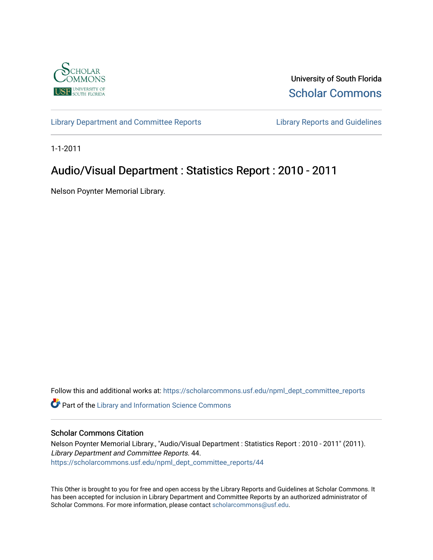

University of South Florida [Scholar Commons](https://scholarcommons.usf.edu/) 

[Library Department and Committee Reports](https://scholarcommons.usf.edu/npml_dept_committee_reports) [Library Reports and Guidelines](https://scholarcommons.usf.edu/npml_reports_guidelines_instruct_materials) 

1-1-2011

# Audio/Visual Department : Statistics Report : 2010 - 2011

Nelson Poynter Memorial Library.

Follow this and additional works at: [https://scholarcommons.usf.edu/npml\\_dept\\_committee\\_reports](https://scholarcommons.usf.edu/npml_dept_committee_reports?utm_source=scholarcommons.usf.edu%2Fnpml_dept_committee_reports%2F44&utm_medium=PDF&utm_campaign=PDFCoverPages)

Part of the [Library and Information Science Commons](http://network.bepress.com/hgg/discipline/1018?utm_source=scholarcommons.usf.edu%2Fnpml_dept_committee_reports%2F44&utm_medium=PDF&utm_campaign=PDFCoverPages) 

#### Scholar Commons Citation

Nelson Poynter Memorial Library., "Audio/Visual Department : Statistics Report : 2010 - 2011" (2011). Library Department and Committee Reports. 44. [https://scholarcommons.usf.edu/npml\\_dept\\_committee\\_reports/44](https://scholarcommons.usf.edu/npml_dept_committee_reports/44?utm_source=scholarcommons.usf.edu%2Fnpml_dept_committee_reports%2F44&utm_medium=PDF&utm_campaign=PDFCoverPages) 

This Other is brought to you for free and open access by the Library Reports and Guidelines at Scholar Commons. It has been accepted for inclusion in Library Department and Committee Reports by an authorized administrator of Scholar Commons. For more information, please contact [scholarcommons@usf.edu](mailto:scholarcommons@usf.edu).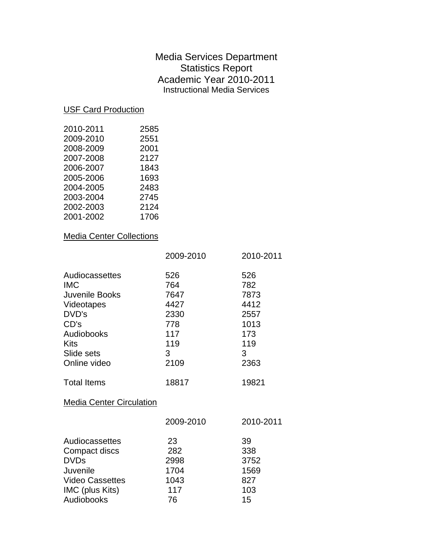## Media Services Department Statistics Report Academic Year 2010-2011 Instructional Media Services

#### USF Card Production

| 2010-2011 | 2585 |
|-----------|------|
| 2009-2010 | 2551 |
| 2008-2009 | 2001 |
| 2007-2008 | 2127 |
| 2006-2007 | 1843 |
| 2005-2006 | 1693 |
| 2004-2005 | 2483 |
| 2003-2004 | 2745 |
| 2002-2003 | 2124 |
| 2001-2002 | 1706 |

### Media Center Collections

| 526<br>764<br>7647<br>4427     | 526<br>782<br>7873                              |
|--------------------------------|-------------------------------------------------|
| 2330<br>778<br>117<br>119<br>3 | 4412<br>2557<br>1013<br>173<br>119<br>3<br>2363 |
|                                |                                                 |
| 18817                          | 19821                                           |
|                                |                                                 |
| 2009-2010                      | 2010-2011                                       |
| 23<br>282<br>2998<br>1704      | 39<br>338<br>3752<br>1569<br>827                |
|                                | 2109<br>1043                                    |